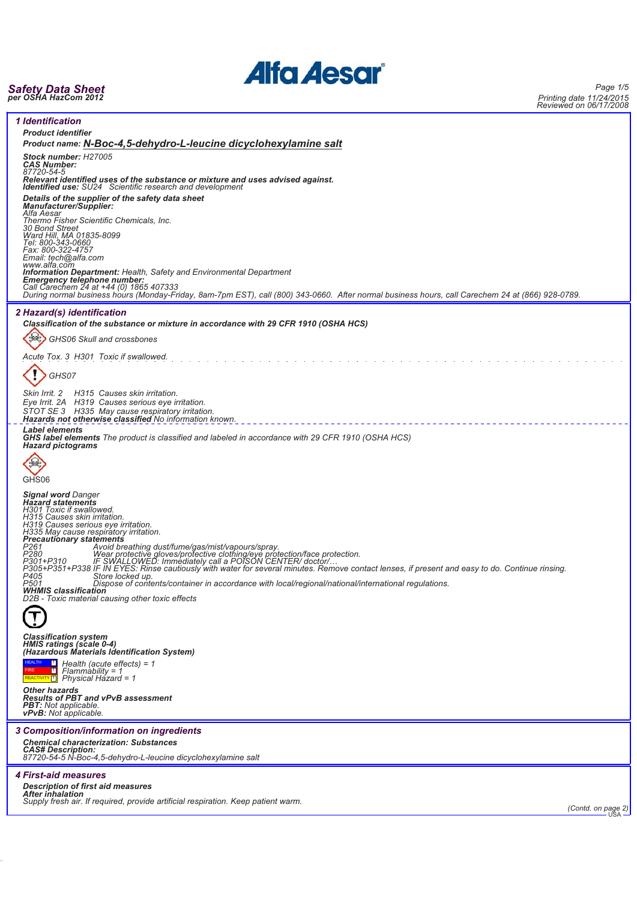# **Alfa Aesar®**

## *Safety Data Sheet per OSHA HazCom 2012*

*Page 1/5 Printing date 11/24/2015 Reviewed on 06/17/2008*

| Reviewed Off Ool 1772000                                                                                                                                                                                            |
|---------------------------------------------------------------------------------------------------------------------------------------------------------------------------------------------------------------------|
| <b>1 Identification</b><br><b>Product identifier</b>                                                                                                                                                                |
| Product name: N-Boc-4,5-dehydro-L-leucine dicyclohexylamine salt                                                                                                                                                    |
| Stock number: H27005<br><b>CAS Number:</b><br>87720-54-5                                                                                                                                                            |
| Relevant identified uses of the substance or mixture and uses advised against.<br>Identified use: SU24 Scientific research and development                                                                          |
| Details of the supplier of the safety data sheet<br><b>Manufacturer/Supplier:</b><br>Alfa Aesar                                                                                                                     |
| Thermo Fisher Scientific Chemicals, Inc.<br>30 Bond Street                                                                                                                                                          |
| Ward Hill, MA 01835-8099<br>Tel: 800-343-0660<br>Fax: 800-322-4757                                                                                                                                                  |
| Email: tech@alfa.com<br>www.alfa.com<br><b>Information Department:</b> Health, Safety and Environmental Department                                                                                                  |
| <b>Emergency telephone number:</b><br>Call Carechem 24 at +44 (0) 1865 407333                                                                                                                                       |
| During normal business hours (Monday-Friday, 8am-7pm EST), call (800) 343-0660. After normal business hours, call Carechem 24 at (866) 928-0789.                                                                    |
| 2 Hazard(s) identification<br>Classification of the substance or mixture in accordance with 29 CFR 1910 (OSHA HCS)                                                                                                  |
| GHS06 Skull and crossbones                                                                                                                                                                                          |
| Acute Tox. 3 H301 Toxic if swallowed.                                                                                                                                                                               |
| GHS07                                                                                                                                                                                                               |
| Skin Irrit. 2 H315 Causes skin irritation.<br>Eye Irrit. 2A H319 Causes serious eye irritation.                                                                                                                     |
| STOT SE 3 H335 May cause respiratory irritation.<br>Hazards not otherwise classified No information known.                                                                                                          |
| <b>Label elements</b><br><b>GHS label elements</b> The product is classified and labeled in accordance with 29 CFR 1910 (OSHA HCS)<br><b>Hazard pictograms</b>                                                      |
|                                                                                                                                                                                                                     |
| GHS06                                                                                                                                                                                                               |
| <b>Signal word Danger</b><br><b>Hazard statements</b><br>H301 Toxic if swallowed.                                                                                                                                   |
| H315 Causes skin irritation.<br>H319 Causes serious eye irritation.<br>H335 May cause respiratory irritation.<br><b>Precautionary statements</b>                                                                    |
| P261<br>P280<br>Avoid breathing dust/fume/gas/mist/vapours/spray.<br>Wear protective gloves/protective clothing/eye protection/face protection.                                                                     |
| P301+P310 iF SWALLOWED: Immediately call a POISON CENTER/doctor/<br>P305+P351+P338 IF IN EYES: Rinse cautiously with water for several minutes. Remove contact lenses, if present and easy to do. Continue rinsing. |
| P405<br>Store locked up.<br>P501<br>Dispose of contents/container in accordance with local/regional/national/international regulations.<br><b>WHMIS classification</b>                                              |
| D2B - Toxic material causing other toxic effects                                                                                                                                                                    |
|                                                                                                                                                                                                                     |
| <b>Classification system</b><br>HMIS ratings (scale 0-4)<br>(Hazardous Materials Identification System)                                                                                                             |
| Health (acute effects) = $1$<br>$Flammability = 1$<br>REACTIVITY 1 Physical Hazard = 1                                                                                                                              |
| <b>Other hazards</b><br><b>Results of PBT and vPvB assessment</b>                                                                                                                                                   |
| <b>PBT:</b> Not applicable.<br><b>vPvB:</b> Not applicable.                                                                                                                                                         |
| 3 Composition/information on ingredients                                                                                                                                                                            |
| <b>Chemical characterization: Substances</b><br><b>CAS# Description:</b><br>87720-54-5 N-Boc-4,5-dehydro-L-leucine dicyclohexylamine salt                                                                           |
| <i><b>4 First-aid measures</b></i>                                                                                                                                                                                  |
| <b>Description of first aid measures</b>                                                                                                                                                                            |
| <b>After inhalation</b><br>Supply fresh air. If required, provide artificial respiration. Keep patient warm.                                                                                                        |
| (Contd. on page 2)                                                                                                                                                                                                  |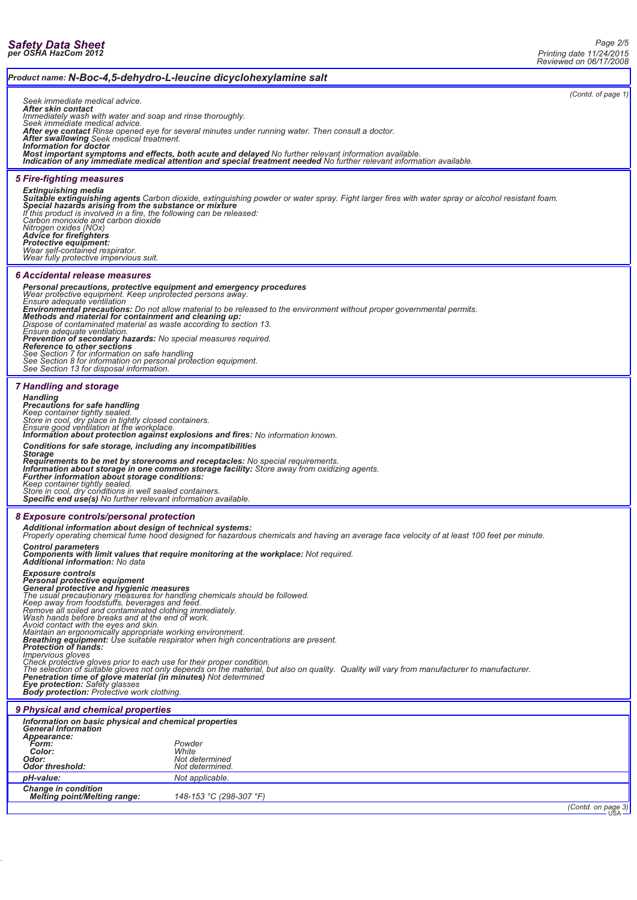### *Product name: N-Boc-4,5-dehydro-L-leucine dicyclohexylamine salt (Contd. of page 1) Seek immediate medical advice. After skin contact Immediately wash with water and soap and rinse thoroughly. Seek immediate medical advice.* **After eye contact** Rinse opened eye for several minutes under running water. Then consult a doctor.<br>**After swallowing** Seek medical treatment.<br>**Information for doctor**<br>**Most important symptoms and effects, both acute and** *Indication of any immediate medical attention and special treatment needed No further relevant information available. 5 Fire-fighting measures Extinguishing media* **Suitable extinguishing agents** Carbon dioxide, extinguishing powder or water spray. Fight larger fires with water spray or alcohol resistant foam.<br>**Special hazards arising from the substance or mixture**<br>If this product is *Carbon monoxide and carbon dioxide Nitrogen oxides (NOx) Advice for firefighters Protective equipment: Wear self-contained respirator. Wear fully protective impervious suit. 6 Accidental release measures* Personal precautions, protective equipment and emergency procedures<br>Wear protective equipment. Keep unprotected persons away.<br>Ensure adequate ventilation<br>Environmental precautions: Do not allow material to be released to t *Dispose of contaminated material as waste according to section 13. Ensure adequate ventilation.* **Prevention of secondary hazards:** No special measures required.<br>Reference to other sections<br>See Section 7 for information on safe handling<br>See Section 8 for information on personal protection equipment.<br>See Section 13 for *7 Handling and storage Handling Precautions for safe handling Keep container tightly sealed. Store in cool, dry place in tightly closed containers. Ensure good ventilation at the workplace. Information about protection against explosions and fires: No information known. Conditions for safe storage, including any incompatibilities Storage* Requirements to be met by storerooms and receptacles: No special requirements.<br>Information about storage in one common storage facility: Store away from oxidizing agents.<br>Further information about storage conditions:<br>Keep *8 Exposure controls/personal protection Additional information about design of technical systems: Properly operating chemical fume hood designed for hazardous chemicals and having an average face velocity of at least 100 feet per minute. Control parameters Components with limit values that require monitoring at the workplace: Not required. Additional information: No data* Exposure controls<br>**Censonal protective equipment<br>General protective and hygienic measures**<br>The usual precautionary measures for handling chemicals should be followed.<br>Keep away from foodstuffs, beverages and feed.<br>Remove a Avoid contact with the eyes and skin.<br>Maintain an ergonomically appropriate working environment.<br>**Breathing equipment**: Use suitable respirator when high concentrations are present.<br>**Protection of hands:**<br>Impervious gloves *9 Physical and chemical properties Information on basic physical and chemical properties General Information Appearance: Form: Powder Color: White Odor: Not determined Odor threshold: Not determined. pH-value: Not applicable.*

*Change in condition Melting point/Melting range: 148-153 °C (298-307 °F)*

*(Contd. on page 3)*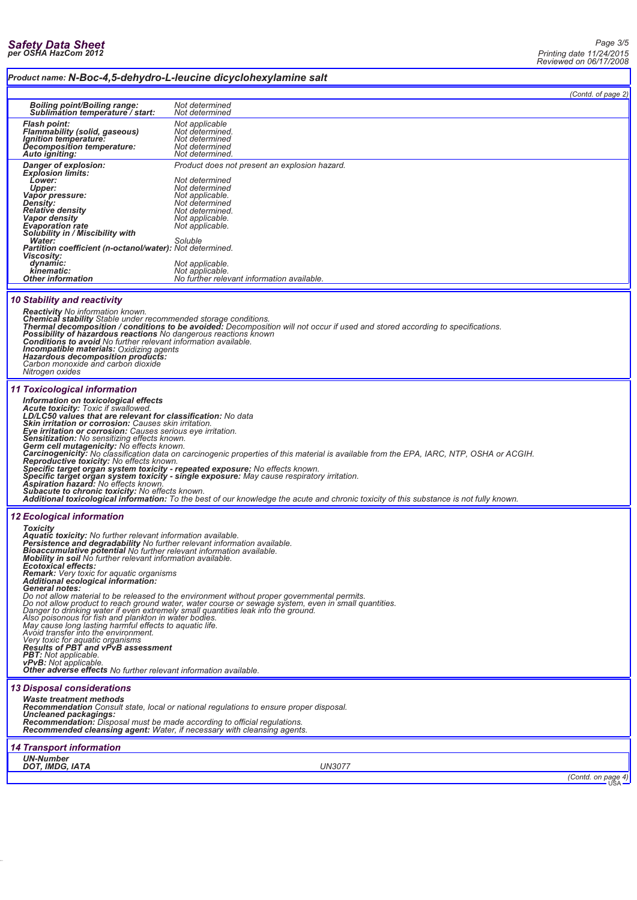### *Product name: N-Boc-4,5-dehydro-L-leucine dicyclohexylamine salt*

|                                                                                                                                      |                                                                                          | (Contd. of page 2) |
|--------------------------------------------------------------------------------------------------------------------------------------|------------------------------------------------------------------------------------------|--------------------|
| <b>Boiling point/Boiling range:</b><br>Sublimation temperature / start:                                                              | Not determined<br>Not determined                                                         |                    |
| <b>Flash point:</b><br><b>Flammability (solid, gaseous)</b><br>Ignition temperature:<br>Decomposition temperature:<br>Auto igniting: | Not applicable<br>Not determined.<br>Not determined<br>Not determined<br>Not determined. |                    |
| Danger of explosion:<br><b>Explosion limits:</b>                                                                                     | Product does not present an explosion hazard.<br>Not determined                          |                    |
| Lower:<br>Upper:<br>Vapor pressure:                                                                                                  | Not determined<br>Not applicable.                                                        |                    |
| <b>Density:</b><br><b>Relative density</b>                                                                                           | Not determined<br>Not determined.                                                        |                    |
| Vapor density<br><b>Evaporation rate</b>                                                                                             | Not applicable.<br>Not applicable.                                                       |                    |
| Solubility in / Miscibility with<br>Water:                                                                                           | Soluble                                                                                  |                    |
| <b>Partition coefficient (n-octanol/water): Not determined.</b><br><b>Viscosity:</b><br>dynamic:                                     | Not applicable.                                                                          |                    |
| kinematic:<br><b>Other information</b>                                                                                               | Not applicable.<br>No further relevant information available.                            |                    |
| <b>10 Stability and reactivity</b>                                                                                                   |                                                                                          |                    |

*Reactivity No information known.* Chemical stability Stable under recommended storage conditions.<br>Thermal decomposition / conditions to be avoided: Decomposition will not occur if used and stored according to specifications. *Incompatible materials: Oxidizing agents Hazardous decomposition products: Carbon monoxide and carbon dioxide Nitrogen oxides 11 Toxicological information Information on toxicological effects* Acute toxicity: Toxic if swallowed.<br>LD/LC50 values that are relevant for classification: No data<br>Skin irritation or corrosion: Causes skin irritation.<br>Eye irritation or corrosion: Causes serious eye irritation.<br>Sensitizati

Carcinogenicity: No classification data on carcinogenic properties of this material is available from the EPA, IARC, NTP, OSHA or ACGIH.<br>Reproductive toxicity: No effects known.<br>Specific target organ system toxicity - repe

*Subacute to chronic toxicity: No effects known. Additional toxicological information: To the best of our knowledge the acute and chronic toxicity of this substance is not fully known.*

### *12 Ecological information*

Toxicity<br>Aquatic toxicity: No further relevant information available.<br>Persistence and degradability No further relevant information available.<br>Bioaccumulative potential No further relevant information available.<br>Mobility i **Ecotoxical effects:**<br>**Ecotoxical effects:**<br>**Remark:** Very toxic for aquatic organisms *Remark: Very toxic for aquatic organisms Additional ecological information:* **General notes:**<br>Do not allow material to be released to the environment without proper governmental permits.<br>Do not allow moduct to reach ground water, water course or sewage system, even in small quantities.<br>Danger to dr *13 Disposal considerations Waste treatment methods Recommendation Consult state, local or national regulations to ensure proper disposal. Uncleaned packagings: Recommendation: Disposal must be made according to official regulations. Recommended cleansing agent: Water, if necessary with cleansing agents. 14 Transport information UN-Number DOT, IMDG, IATA UN3077*

*(Contd. on page 4)*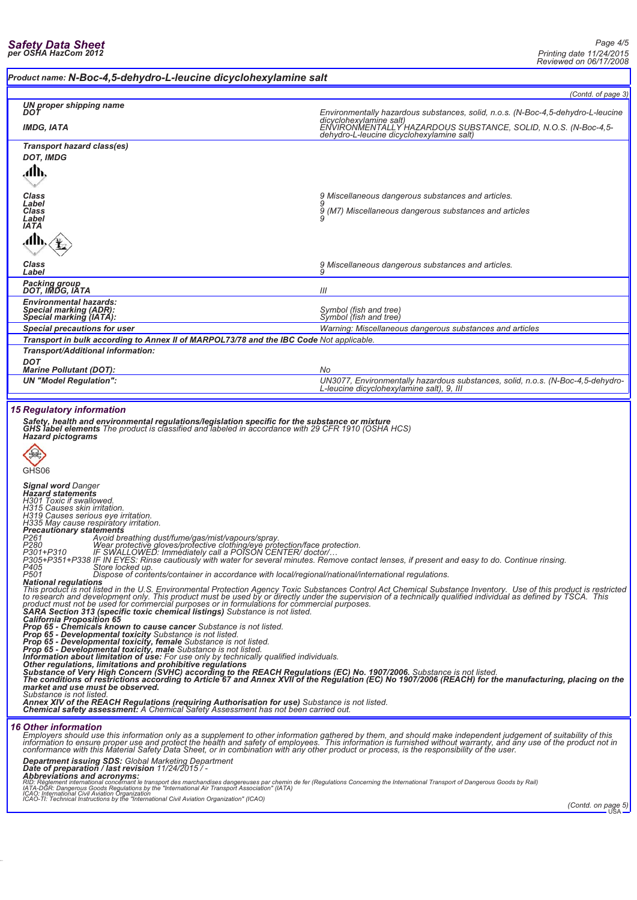### *Product name: N-Boc-4,5-dehydro-L-leucine dicyclohexylamine salt*

|                                                                                                                                                                                                                                                                                                                                                                                                                                        | (Contd. of page 3)                                                                                                                                                                                                                                                                                                                                                                                  |  |  |
|----------------------------------------------------------------------------------------------------------------------------------------------------------------------------------------------------------------------------------------------------------------------------------------------------------------------------------------------------------------------------------------------------------------------------------------|-----------------------------------------------------------------------------------------------------------------------------------------------------------------------------------------------------------------------------------------------------------------------------------------------------------------------------------------------------------------------------------------------------|--|--|
| UN proper shipping name<br>DOT                                                                                                                                                                                                                                                                                                                                                                                                         | Environmentally hazardous substances, solid, n.o.s. (N-Boc-4,5-dehydro-L-leucine                                                                                                                                                                                                                                                                                                                    |  |  |
| <b>IMDG, IATA</b>                                                                                                                                                                                                                                                                                                                                                                                                                      | dicyclohexylamine salt)<br>ENVIRONMENTALLY HAZARDOUS SUBSTANCE, SOLID, N.O.S. (N-Boc-4,5-<br>dehydro-L-leucine dicyclohexylamine salt)                                                                                                                                                                                                                                                              |  |  |
| Transport hazard class(es)<br><b>DOT, IMDG</b>                                                                                                                                                                                                                                                                                                                                                                                         |                                                                                                                                                                                                                                                                                                                                                                                                     |  |  |
| đЉ.                                                                                                                                                                                                                                                                                                                                                                                                                                    |                                                                                                                                                                                                                                                                                                                                                                                                     |  |  |
|                                                                                                                                                                                                                                                                                                                                                                                                                                        |                                                                                                                                                                                                                                                                                                                                                                                                     |  |  |
| Class<br>Label<br>Class                                                                                                                                                                                                                                                                                                                                                                                                                | 9 Miscellaneous dangerous substances and articles.<br>9 (M7) Miscellaneous dangerous substances and articles                                                                                                                                                                                                                                                                                        |  |  |
| Label<br><b>IATA</b>                                                                                                                                                                                                                                                                                                                                                                                                                   |                                                                                                                                                                                                                                                                                                                                                                                                     |  |  |
| лЉ                                                                                                                                                                                                                                                                                                                                                                                                                                     |                                                                                                                                                                                                                                                                                                                                                                                                     |  |  |
| Class<br>Label                                                                                                                                                                                                                                                                                                                                                                                                                         | 9 Miscellaneous dangerous substances and articles.<br>9                                                                                                                                                                                                                                                                                                                                             |  |  |
| Packing group<br>DOT, IMDG, IATA                                                                                                                                                                                                                                                                                                                                                                                                       | III                                                                                                                                                                                                                                                                                                                                                                                                 |  |  |
| <b>Environmental hazards:</b><br><b>Special marking (ADR):</b>                                                                                                                                                                                                                                                                                                                                                                         | Symbol (fish and tree)                                                                                                                                                                                                                                                                                                                                                                              |  |  |
| Special marking (IATA):                                                                                                                                                                                                                                                                                                                                                                                                                | Symbol (fish and tree)                                                                                                                                                                                                                                                                                                                                                                              |  |  |
| <b>Special precautions for user</b><br>Transport in bulk according to Annex II of MARPOL73/78 and the IBC Code Not applicable.                                                                                                                                                                                                                                                                                                         | Warning: Miscellaneous dangerous substances and articles                                                                                                                                                                                                                                                                                                                                            |  |  |
| Transport/Additional information:                                                                                                                                                                                                                                                                                                                                                                                                      |                                                                                                                                                                                                                                                                                                                                                                                                     |  |  |
| <b>DOT</b><br><b>Marine Pollutant (DOT):</b>                                                                                                                                                                                                                                                                                                                                                                                           | No                                                                                                                                                                                                                                                                                                                                                                                                  |  |  |
| <b>UN "Model Regulation":</b>                                                                                                                                                                                                                                                                                                                                                                                                          | UN3077, Environmentally hazardous substances, solid, n.o.s. (N-Boc-4,5-dehydro-<br>L-leucine dicyclohexylamine salt), 9, III                                                                                                                                                                                                                                                                        |  |  |
| <b>15 Regulatory information</b>                                                                                                                                                                                                                                                                                                                                                                                                       |                                                                                                                                                                                                                                                                                                                                                                                                     |  |  |
| Safety, health and environmental regulations/legislation specific for the substance or mixture<br><b>GHS label elements</b> The product is classified and labeled in accordance with 29 CFR 1910 (OSHA HCS)                                                                                                                                                                                                                            |                                                                                                                                                                                                                                                                                                                                                                                                     |  |  |
| <b>Hazard pictograms</b>                                                                                                                                                                                                                                                                                                                                                                                                               |                                                                                                                                                                                                                                                                                                                                                                                                     |  |  |
|                                                                                                                                                                                                                                                                                                                                                                                                                                        |                                                                                                                                                                                                                                                                                                                                                                                                     |  |  |
| GHS06                                                                                                                                                                                                                                                                                                                                                                                                                                  |                                                                                                                                                                                                                                                                                                                                                                                                     |  |  |
| <b>Signal word Danger</b><br><b>Hazard statements</b><br>H301 Toxic if swallowed.                                                                                                                                                                                                                                                                                                                                                      |                                                                                                                                                                                                                                                                                                                                                                                                     |  |  |
| H315 Causes skin irritation.<br>H319 Causes serious eye irritation.                                                                                                                                                                                                                                                                                                                                                                    |                                                                                                                                                                                                                                                                                                                                                                                                     |  |  |
| H335 May cause respiratory irritation.<br><b>Precautionary statements</b>                                                                                                                                                                                                                                                                                                                                                              |                                                                                                                                                                                                                                                                                                                                                                                                     |  |  |
| P261<br>Avoid breathing dust/fume/gas/mist/vapours/spray.<br>P <sub>280</sub><br>Wear protective gloves/protective clothing/eye protection/face protection.<br>IF SWALLOWED: Immediately call a POISON CENTER/doctor/                                                                                                                                                                                                                  |                                                                                                                                                                                                                                                                                                                                                                                                     |  |  |
| P301+P310<br>P305+P351+P338 IF IN EYES: Rinse cautiously with water for several minutes. Remove contact lenses, if present and easy to do. Continue rinsing                                                                                                                                                                                                                                                                            |                                                                                                                                                                                                                                                                                                                                                                                                     |  |  |
| P405<br>Store locked up.<br>P501<br>Dispose of contents/container in accordance with local/regional/national/international regulations.<br><b>National regulations</b>                                                                                                                                                                                                                                                                 |                                                                                                                                                                                                                                                                                                                                                                                                     |  |  |
| This product is not listed in the U.S. Environmental Protection Agency Toxic Substances Control Act Chemical Substance Inventory. Use of this product is restricted<br>to research and development only. This product must be used by or directly under the supervision of a technically qualified individual as defined by TSCA. This<br>product must not be used for commercial purposes or in formulations for commercial purposes. |                                                                                                                                                                                                                                                                                                                                                                                                     |  |  |
| SARA Section 313 (specific toxic chemical listings) Substance is not listed.<br><b>California Proposition 65</b>                                                                                                                                                                                                                                                                                                                       |                                                                                                                                                                                                                                                                                                                                                                                                     |  |  |
| Prop 65 - Chemicals known to cause cancer Substance is not listed.<br>Prop 65 - Developmental toxicity Substance is not listed.<br><b>Prop 65 - Developmental toxicity, female</b> Substance is not listed.                                                                                                                                                                                                                            |                                                                                                                                                                                                                                                                                                                                                                                                     |  |  |
| Prop 65 - Developmental toxicity, male Substance is not listed.<br>Information about limitation of use: For use only by technically qualified individuals.                                                                                                                                                                                                                                                                             |                                                                                                                                                                                                                                                                                                                                                                                                     |  |  |
|                                                                                                                                                                                                                                                                                                                                                                                                                                        | Other regulations, limitations and prohibitive regulations<br>Substance of Very High Concern (SVHC) according to the REACH Regulations (EC) No. 1907/2006. Substance is not listed.<br>The conditions of restrictions according to A                                                                                                                                                                |  |  |
| market and use must be observed.                                                                                                                                                                                                                                                                                                                                                                                                       |                                                                                                                                                                                                                                                                                                                                                                                                     |  |  |
| Substance is not listed.<br>Annex XIV of the REACH Regulations (requiring Authorisation for use) Substance is not listed.<br>Chemical safety assessment: A Chemical Safety Assessment has not been carried out.                                                                                                                                                                                                                        |                                                                                                                                                                                                                                                                                                                                                                                                     |  |  |
| <b>16 Other information</b>                                                                                                                                                                                                                                                                                                                                                                                                            |                                                                                                                                                                                                                                                                                                                                                                                                     |  |  |
|                                                                                                                                                                                                                                                                                                                                                                                                                                        | Employers should use this information only as a supplement to other information gathered by them, and should make independent judgement of suitability of this<br>information to ensure proper use and protect the health and safety of employees. This information is furnished without warranty, and any use of the product not in<br>conformance with this Material Safety Data Sheet, or in com |  |  |
| <b>Department issuing SDS: Global Marketing Department</b><br>Date of preparation / last revision 11/24/2015 / -                                                                                                                                                                                                                                                                                                                       |                                                                                                                                                                                                                                                                                                                                                                                                     |  |  |
| <b>Abbreviations and acronyms:</b><br>RID: Reglement international concernant le transport des marchandises dangereuses par chemin de fer (Regulations Concerning the International Transport of Dangerous Goods by Rail)<br>IATA-DGR: Da                                                                                                                                                                                              |                                                                                                                                                                                                                                                                                                                                                                                                     |  |  |
|                                                                                                                                                                                                                                                                                                                                                                                                                                        |                                                                                                                                                                                                                                                                                                                                                                                                     |  |  |
|                                                                                                                                                                                                                                                                                                                                                                                                                                        | (Contd. on page 5)                                                                                                                                                                                                                                                                                                                                                                                  |  |  |